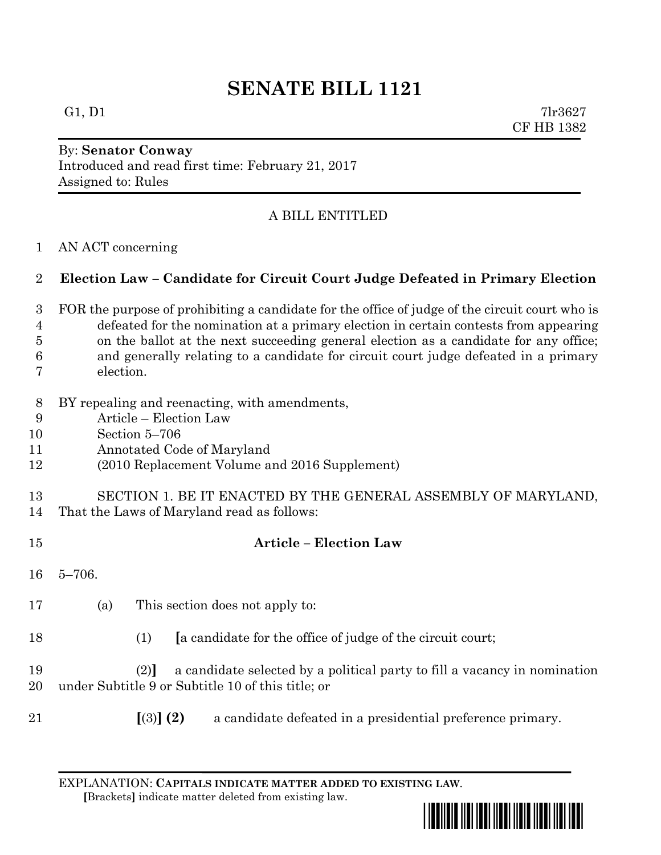# **SENATE BILL 1121**

G1, D1  $7\text{lr}3627$ CF HB 1382

### By: **Senator Conway** Introduced and read first time: February 21, 2017 Assigned to: Rules

# A BILL ENTITLED

AN ACT concerning

## **Election Law – Candidate for Circuit Court Judge Defeated in Primary Election**

- FOR the purpose of prohibiting a candidate for the office of judge of the circuit court who is defeated for the nomination at a primary election in certain contests from appearing on the ballot at the next succeeding general election as a candidate for any office; and generally relating to a candidate for circuit court judge defeated in a primary election.
- BY repealing and reenacting, with amendments,
- Article Election Law
- Section 5–706
- Annotated Code of Maryland
- (2010 Replacement Volume and 2016 Supplement)
- SECTION 1. BE IT ENACTED BY THE GENERAL ASSEMBLY OF MARYLAND,
- That the Laws of Maryland read as follows:
- **Article – Election Law** 5–706. (a) This section does not apply to: (1) **[**a candidate for the office of judge of the circuit court; (2)**]** a candidate selected by a political party to fill a vacancy in nomination under Subtitle 9 or Subtitle 10 of this title; or **[**(3)**] (2)** a candidate defeated in a presidential preference primary.